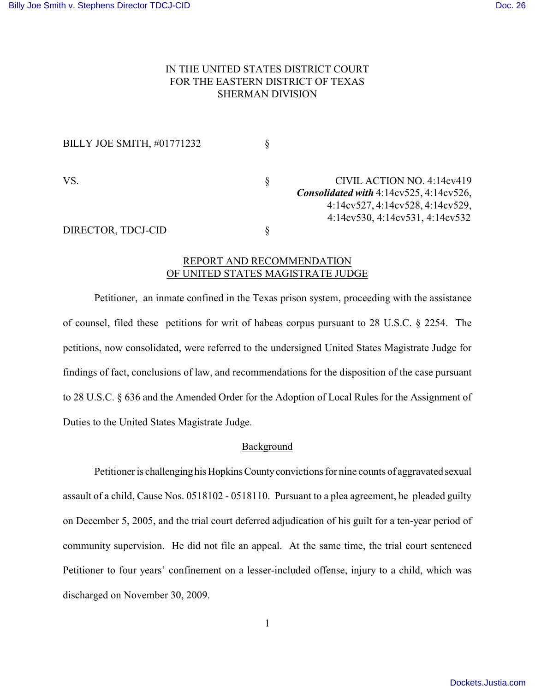# IN THE UNITED STATES DISTRICT COURT FOR THE EASTERN DISTRICT OF TEXAS SHERMAN DIVISION

| BILLY JOE SMITH, #01771232 |                                                                                                             |
|----------------------------|-------------------------------------------------------------------------------------------------------------|
| VS.                        | CIVIL ACTION NO. 4:14cv419<br>Consolidated with $4:14cy525, 4:14cy526,$<br>4:14cv527, 4:14cv528, 4:14cv529, |
| DIRECTOR, TDCJ-CID         | 4:14cv530, 4:14cv531, 4:14cv532                                                                             |

## REPORT AND RECOMMENDATION OF UNITED STATES MAGISTRATE JUDGE

Petitioner, an inmate confined in the Texas prison system, proceeding with the assistance of counsel, filed these petitions for writ of habeas corpus pursuant to 28 U.S.C. § 2254. The petitions, now consolidated, were referred to the undersigned United States Magistrate Judge for findings of fact, conclusions of law, and recommendations for the disposition of the case pursuant to 28 U.S.C. § 636 and the Amended Order for the Adoption of Local Rules for the Assignment of Duties to the United States Magistrate Judge.

## Background

Petitioner is challenging his Hopkins County convictions for nine counts of aggravated sexual assault of a child, Cause Nos. 0518102 - 0518110. Pursuant to a plea agreement, he pleaded guilty on December 5, 2005, and the trial court deferred adjudication of his guilt for a ten-year period of community supervision. He did not file an appeal. At the same time, the trial court sentenced Petitioner to four years' confinement on a lesser-included offense, injury to a child, which was discharged on November 30, 2009.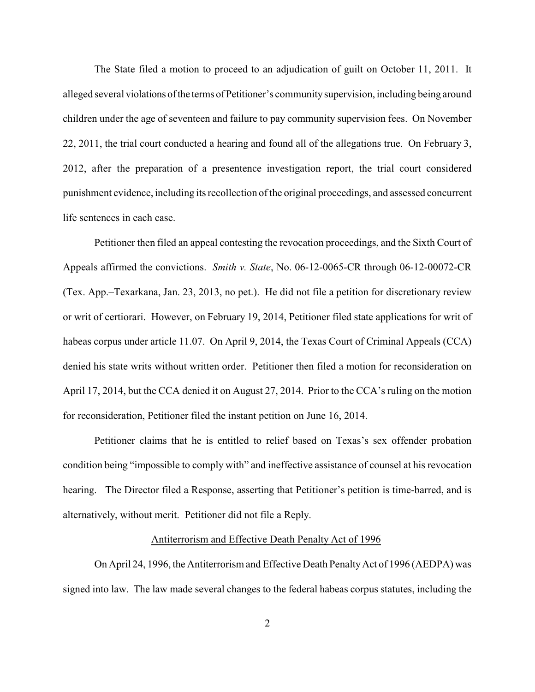The State filed a motion to proceed to an adjudication of guilt on October 11, 2011. It alleged several violations of the terms of Petitioner's community supervision, including being around children under the age of seventeen and failure to pay community supervision fees. On November 22, 2011, the trial court conducted a hearing and found all of the allegations true. On February 3, 2012, after the preparation of a presentence investigation report, the trial court considered punishment evidence, including its recollection of the original proceedings, and assessed concurrent life sentences in each case.

Petitioner then filed an appeal contesting the revocation proceedings, and the Sixth Court of Appeals affirmed the convictions. *Smith v. State*, No. 06-12-0065-CR through 06-12-00072-CR (Tex. App.–Texarkana, Jan. 23, 2013, no pet.). He did not file a petition for discretionary review or writ of certiorari. However, on February 19, 2014, Petitioner filed state applications for writ of habeas corpus under article 11.07. On April 9, 2014, the Texas Court of Criminal Appeals (CCA) denied his state writs without written order. Petitioner then filed a motion for reconsideration on April 17, 2014, but the CCA denied it on August 27, 2014. Prior to the CCA's ruling on the motion for reconsideration, Petitioner filed the instant petition on June 16, 2014.

Petitioner claims that he is entitled to relief based on Texas's sex offender probation condition being "impossible to comply with" and ineffective assistance of counsel at his revocation hearing. The Director filed a Response, asserting that Petitioner's petition is time-barred, and is alternatively, without merit. Petitioner did not file a Reply.

#### Antiterrorism and Effective Death Penalty Act of 1996

On April 24, 1996, the Antiterrorism and Effective Death Penalty Act of 1996 (AEDPA) was signed into law. The law made several changes to the federal habeas corpus statutes, including the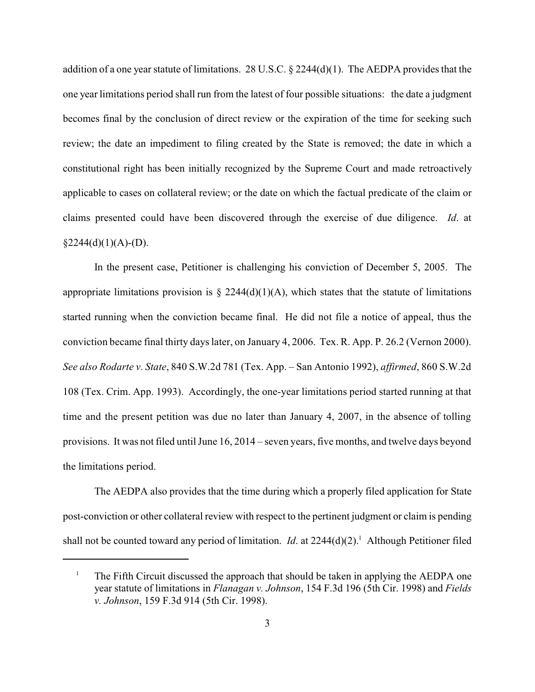addition of a one year statute of limitations. 28 U.S.C. § 2244(d)(1). The AEDPA provides that the one year limitations period shall run from the latest of four possible situations: the date a judgment becomes final by the conclusion of direct review or the expiration of the time for seeking such review; the date an impediment to filing created by the State is removed; the date in which a constitutional right has been initially recognized by the Supreme Court and made retroactively applicable to cases on collateral review; or the date on which the factual predicate of the claim or claims presented could have been discovered through the exercise of due diligence. *Id*. at  $§2244(d)(1)(A)-(D).$ 

In the present case, Petitioner is challenging his conviction of December 5, 2005. The appropriate limitations provision is  $\S$  2244(d)(1)(A), which states that the statute of limitations started running when the conviction became final. He did not file a notice of appeal, thus the conviction became final thirty days later, on January 4, 2006. Tex. R. App. P. 26.2 (Vernon 2000). *See also Rodarte v. State*, 840 S.W.2d 781 (Tex. App. – San Antonio 1992), *affirmed*, 860 S.W.2d 108 (Tex. Crim. App. 1993). Accordingly, the one-year limitations period started running at that time and the present petition was due no later than January 4, 2007, in the absence of tolling provisions. It was not filed until June 16, 2014 – seven years, five months, and twelve days beyond the limitations period.

The AEDPA also provides that the time during which a properly filed application for State post-conviction or other collateral review with respect to the pertinent judgment or claim is pending shall not be counted toward any period of limitation. *Id.* at 2244(d)(2).<sup>1</sup> Although Petitioner filed

<sup>&</sup>lt;sup>1</sup> The Fifth Circuit discussed the approach that should be taken in applying the AEDPA one year statute of limitations in *Flanagan v. Johnson*, 154 F.3d 196 (5th Cir. 1998) and *Fields v. Johnson*, 159 F.3d 914 (5th Cir. 1998).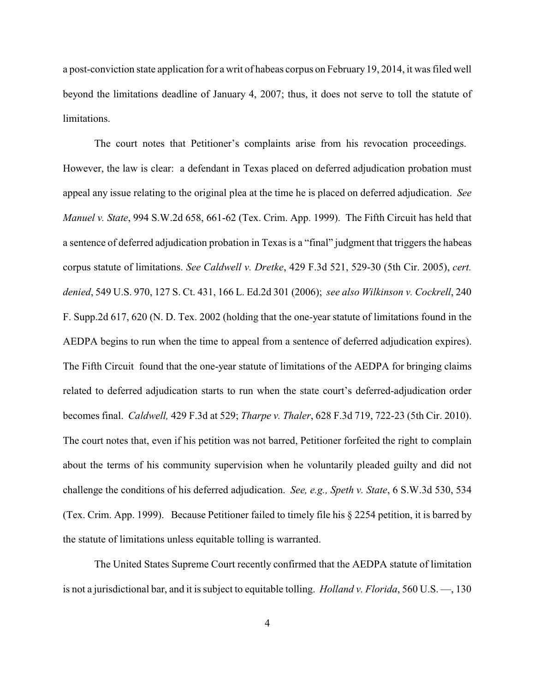a post-conviction state application for a writ of habeas corpus on February 19, 2014, it was filed well beyond the limitations deadline of January 4, 2007; thus, it does not serve to toll the statute of limitations.

The court notes that Petitioner's complaints arise from his revocation proceedings. However, the law is clear: a defendant in Texas placed on deferred adjudication probation must appeal any issue relating to the original plea at the time he is placed on deferred adjudication. *See Manuel v. State*, 994 S.W.2d 658, 661-62 (Tex. Crim. App. 1999). The Fifth Circuit has held that a sentence of deferred adjudication probation in Texas is a "final" judgment that triggers the habeas corpus statute of limitations. *See Caldwell v. Dretke*, 429 F.3d 521, 529-30 (5th Cir. 2005), *cert. denied*, 549 U.S. 970, 127 S. Ct. 431, 166 L. Ed.2d 301 (2006); *see also Wilkinson v. Cockrell*, 240 F. Supp.2d 617, 620 (N. D. Tex. 2002 (holding that the one-year statute of limitations found in the AEDPA begins to run when the time to appeal from a sentence of deferred adjudication expires). The Fifth Circuit found that the one-year statute of limitations of the AEDPA for bringing claims related to deferred adjudication starts to run when the state court's deferred-adjudication order becomes final. *Caldwell,* 429 F.3d at 529; *Tharpe v. Thaler*, 628 F.3d 719, 722-23 (5th Cir. 2010). The court notes that, even if his petition was not barred, Petitioner forfeited the right to complain about the terms of his community supervision when he voluntarily pleaded guilty and did not challenge the conditions of his deferred adjudication. *See, e.g., Speth v. State*, 6 S.W.3d 530, 534 (Tex. Crim. App. 1999). Because Petitioner failed to timely file his § 2254 petition, it is barred by the statute of limitations unless equitable tolling is warranted.

The United States Supreme Court recently confirmed that the AEDPA statute of limitation is not a jurisdictional bar, and it is subject to equitable tolling. *Holland v. Florida*, 560 U.S. —, 130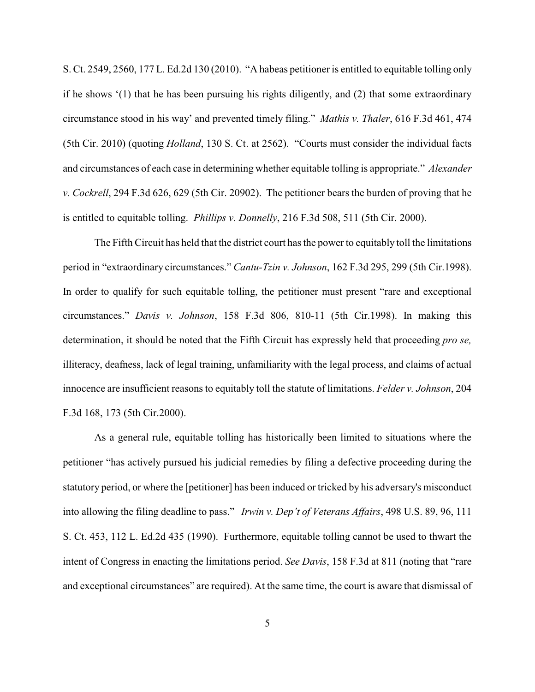S. Ct. 2549, 2560, 177 L. Ed.2d 130 (2010). "A habeas petitioner is entitled to equitable tolling only if he shows '(1) that he has been pursuing his rights diligently, and (2) that some extraordinary circumstance stood in his way' and prevented timely filing." *Mathis v. Thaler*, 616 F.3d 461, 474 (5th Cir. 2010) (quoting *Holland*, 130 S. Ct. at 2562). "Courts must consider the individual facts and circumstances of each case in determining whether equitable tolling is appropriate." *Alexander v. Cockrell*, 294 F.3d 626, 629 (5th Cir. 20902). The petitioner bears the burden of proving that he is entitled to equitable tolling. *Phillips v. Donnelly*, 216 F.3d 508, 511 (5th Cir. 2000).

The Fifth Circuit has held that the district court has the power to equitably toll the limitations period in "extraordinary circumstances." *Cantu-Tzin v. Johnson*, 162 F.3d 295, 299 (5th Cir.1998). In order to qualify for such equitable tolling, the petitioner must present "rare and exceptional circumstances." *Davis v. Johnson*, 158 F.3d 806, 810-11 (5th Cir.1998). In making this determination, it should be noted that the Fifth Circuit has expressly held that proceeding *pro se,* illiteracy, deafness, lack of legal training, unfamiliarity with the legal process, and claims of actual innocence are insufficient reasons to equitably toll the statute of limitations. *Felder v. Johnson*, 204 F.3d 168, 173 (5th Cir.2000).

As a general rule, equitable tolling has historically been limited to situations where the petitioner "has actively pursued his judicial remedies by filing a defective proceeding during the statutory period, or where the [petitioner] has been induced or tricked by his adversary's misconduct into allowing the filing deadline to pass." *Irwin v. Dep't of Veterans Affairs*, 498 U.S. 89, 96, 111 S. Ct. 453, 112 L. Ed.2d 435 (1990). Furthermore, equitable tolling cannot be used to thwart the intent of Congress in enacting the limitations period. *See Davis*, 158 F.3d at 811 (noting that "rare and exceptional circumstances" are required). At the same time, the court is aware that dismissal of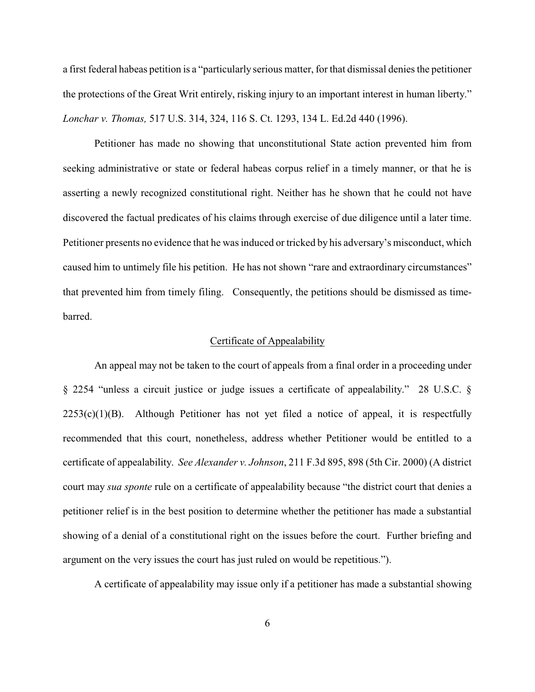a first federal habeas petition is a "particularly serious matter, for that dismissal denies the petitioner the protections of the Great Writ entirely, risking injury to an important interest in human liberty." *Lonchar v. Thomas,* 517 U.S. 314, 324, 116 S. Ct. 1293, 134 L. Ed.2d 440 (1996).

Petitioner has made no showing that unconstitutional State action prevented him from seeking administrative or state or federal habeas corpus relief in a timely manner, or that he is asserting a newly recognized constitutional right. Neither has he shown that he could not have discovered the factual predicates of his claims through exercise of due diligence until a later time. Petitioner presents no evidence that he was induced or tricked by his adversary's misconduct, which caused him to untimely file his petition. He has not shown "rare and extraordinary circumstances" that prevented him from timely filing. Consequently, the petitions should be dismissed as timebarred.

### Certificate of Appealability

An appeal may not be taken to the court of appeals from a final order in a proceeding under § 2254 "unless a circuit justice or judge issues a certificate of appealability." 28 U.S.C. §  $2253(c)(1)(B)$ . Although Petitioner has not yet filed a notice of appeal, it is respectfully recommended that this court, nonetheless, address whether Petitioner would be entitled to a certificate of appealability. *See Alexander v. Johnson*, 211 F.3d 895, 898 (5th Cir. 2000) (A district court may *sua sponte* rule on a certificate of appealability because "the district court that denies a petitioner relief is in the best position to determine whether the petitioner has made a substantial showing of a denial of a constitutional right on the issues before the court. Further briefing and argument on the very issues the court has just ruled on would be repetitious.").

A certificate of appealability may issue only if a petitioner has made a substantial showing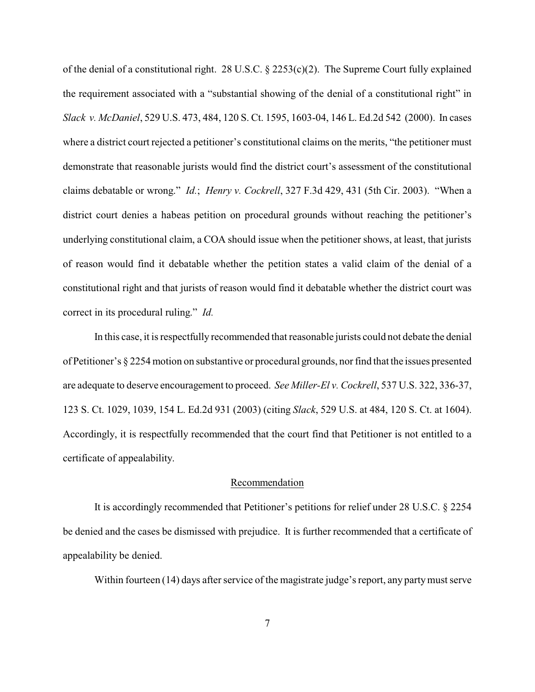of the denial of a constitutional right. 28 U.S.C. § 2253(c)(2). The Supreme Court fully explained the requirement associated with a "substantial showing of the denial of a constitutional right" in *Slack v. McDaniel*, 529 U.S. 473, 484, 120 S. Ct. 1595, 1603-04, 146 L. Ed.2d 542 (2000). In cases where a district court rejected a petitioner's constitutional claims on the merits, "the petitioner must demonstrate that reasonable jurists would find the district court's assessment of the constitutional claims debatable or wrong." *Id.*; *Henry v. Cockrell*, 327 F.3d 429, 431 (5th Cir. 2003). "When a district court denies a habeas petition on procedural grounds without reaching the petitioner's underlying constitutional claim, a COA should issue when the petitioner shows, at least, that jurists of reason would find it debatable whether the petition states a valid claim of the denial of a constitutional right and that jurists of reason would find it debatable whether the district court was correct in its procedural ruling." *Id.*

In this case, it is respectfully recommended that reasonable jurists could not debate the denial of Petitioner's § 2254 motion on substantive or procedural grounds, nor find that the issues presented are adequate to deserve encouragement to proceed. *See Miller-El v. Cockrell*, 537 U.S. 322, 336-37, 123 S. Ct. 1029, 1039, 154 L. Ed.2d 931 (2003) (citing *Slack*, 529 U.S. at 484, 120 S. Ct. at 1604). Accordingly, it is respectfully recommended that the court find that Petitioner is not entitled to a certificate of appealability.

### Recommendation

It is accordingly recommended that Petitioner's petitions for relief under 28 U.S.C. § 2254 be denied and the cases be dismissed with prejudice. It is further recommended that a certificate of appealability be denied.

Within fourteen (14) days after service of the magistrate judge's report, any party must serve